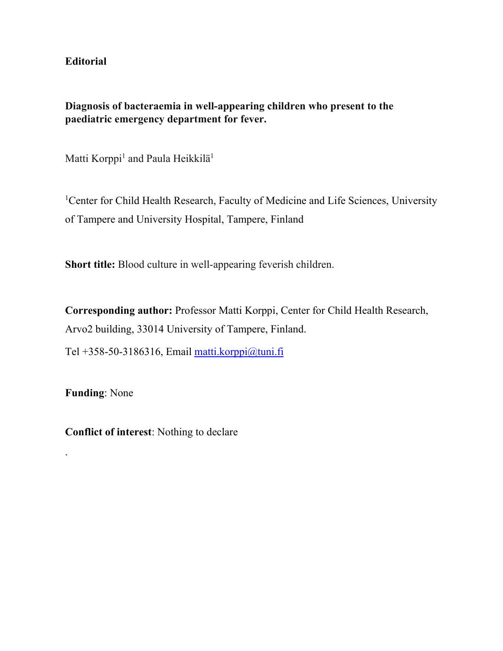**Editorial** 

**Diagnosis of bacteraemia in well-appearing children who present to the paediatric emergency department for fever.** 

Matti Korppi<sup>1</sup> and Paula Heikkilä<sup>1</sup>

<sup>1</sup>Center for Child Health Research, Faculty of Medicine and Life Sciences, University of Tampere and University Hospital, Tampere, Finland

**Short title:** Blood culture in well-appearing feverish children.

**Corresponding author:** Professor Matti Korppi, Center for Child Health Research, Arvo2 building, 33014 University of Tampere, Finland.

Tel +358-50-3186316, Email matti.korppi@tuni.fi

**Funding**: None

.

**Conflict of interest**: Nothing to declare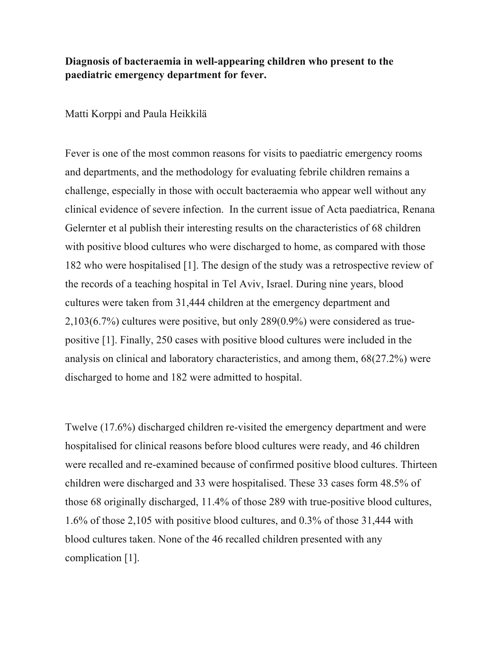## **Diagnosis of bacteraemia in well-appearing children who present to the paediatric emergency department for fever.**

## Matti Korppi and Paula Heikkilä

Fever is one of the most common reasons for visits to paediatric emergency rooms and departments, and the methodology for evaluating febrile children remains a challenge, especially in those with occult bacteraemia who appear well without any clinical evidence of severe infection. In the current issue of Acta paediatrica, Renana Gelernter et al publish their interesting results on the characteristics of 68 children with positive blood cultures who were discharged to home, as compared with those 182 who were hospitalised [1]. The design of the study was a retrospective review of the records of a teaching hospital in Tel Aviv, Israel. During nine years, blood cultures were taken from 31,444 children at the emergency department and 2,103(6.7%) cultures were positive, but only 289(0.9%) were considered as truepositive [1]. Finally, 250 cases with positive blood cultures were included in the analysis on clinical and laboratory characteristics, and among them, 68(27.2%) were discharged to home and 182 were admitted to hospital.

Twelve (17.6%) discharged children re-visited the emergency department and were hospitalised for clinical reasons before blood cultures were ready, and 46 children were recalled and re-examined because of confirmed positive blood cultures. Thirteen children were discharged and 33 were hospitalised. These 33 cases form 48.5% of those 68 originally discharged, 11.4% of those 289 with true-positive blood cultures, 1.6% of those 2,105 with positive blood cultures, and 0.3% of those 31,444 with blood cultures taken. None of the 46 recalled children presented with any complication [1].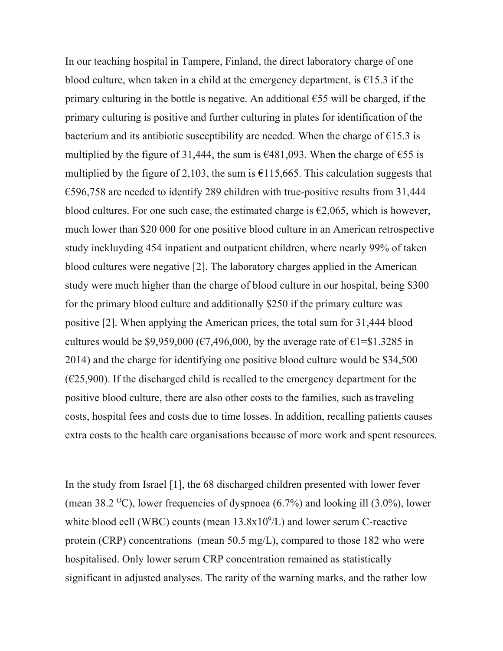In our teaching hospital in Tampere, Finland, the direct laboratory charge of one blood culture, when taken in a child at the emergency department, is  $\epsilon$ 15.3 if the primary culturing in the bottle is negative. An additional  $\epsilon$ 55 will be charged, if the primary culturing is positive and further culturing in plates for identification of the bacterium and its antibiotic susceptibility are needed. When the charge of  $\epsilon$ 15.3 is multiplied by the figure of 31,444, the sum is  $\epsilon$ 481,093. When the charge of  $\epsilon$ 55 is multiplied by the figure of 2,103, the sum is  $\epsilon$ 115,665. This calculation suggests that €596,758 are needed to identify 289 children with true-positive results from 31,444 blood cultures. For one such case, the estimated charge is  $\epsilon$ 2,065, which is however, much lower than \$20 000 for one positive blood culture in an American retrospective study inckluyding 454 inpatient and outpatient children, where nearly 99% of taken blood cultures were negative [2]. The laboratory charges applied in the American study were much higher than the charge of blood culture in our hospital, being \$300 for the primary blood culture and additionally \$250 if the primary culture was positive [2]. When applying the American prices, the total sum for 31,444 blood cultures would be \$9,959,000 ( $\epsilon$ 7,496,000, by the average rate of  $\epsilon$ 1=\$1.3285 in 2014) and the charge for identifying one positive blood culture would be \$34,500  $(\text{\textsterling}25,900)$ . If the discharged child is recalled to the emergency department for the positive blood culture, there are also other costs to the families, such astraveling costs, hospital fees and costs due to time losses. In addition, recalling patients causes extra costs to the health care organisations because of more work and spent resources.

In the study from Israel [1], the 68 discharged children presented with lower fever (mean 38.2 <sup>o</sup>C), lower frequencies of dyspnoea  $(6.7%)$  and looking ill  $(3.0%)$ , lower white blood cell (WBC) counts (mean  $13.8x10<sup>9</sup>/L$ ) and lower serum C-reactive protein (CRP) concentrations (mean 50.5 mg/L), compared to those 182 who were hospitalised. Only lower serum CRP concentration remained as statistically significant in adjusted analyses. The rarity of the warning marks, and the rather low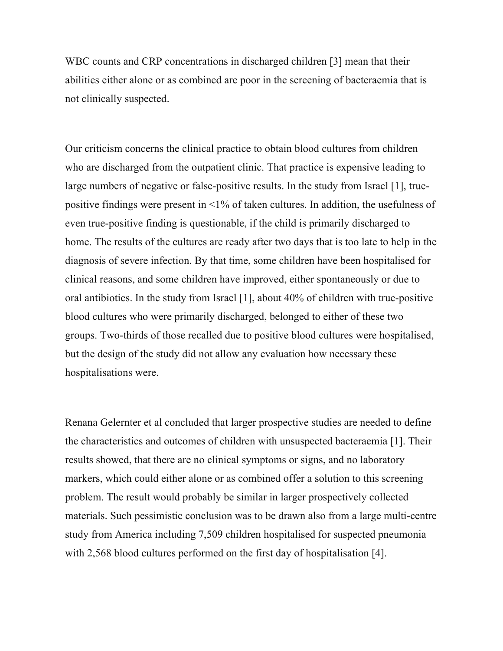WBC counts and CRP concentrations in discharged children [3] mean that their abilities either alone or as combined are poor in the screening of bacteraemia that is not clinically suspected.

Our criticism concerns the clinical practice to obtain blood cultures from children who are discharged from the outpatient clinic. That practice is expensive leading to large numbers of negative or false-positive results. In the study from Israel [1], truepositive findings were present in <1% of taken cultures. In addition, the usefulness of even true-positive finding is questionable, if the child is primarily discharged to home. The results of the cultures are ready after two days that is too late to help in the diagnosis of severe infection. By that time, some children have been hospitalised for clinical reasons, and some children have improved, either spontaneously or due to oral antibiotics. In the study from Israel [1], about 40% of children with true-positive blood cultures who were primarily discharged, belonged to either of these two groups. Two-thirds of those recalled due to positive blood cultures were hospitalised, but the design of the study did not allow any evaluation how necessary these hospitalisations were.

Renana Gelernter et al concluded that larger prospective studies are needed to define the characteristics and outcomes of children with unsuspected bacteraemia [1]. Their results showed, that there are no clinical symptoms or signs, and no laboratory markers, which could either alone or as combined offer a solution to this screening problem. The result would probably be similar in larger prospectively collected materials. Such pessimistic conclusion was to be drawn also from a large multi-centre study from America including 7,509 children hospitalised for suspected pneumonia with 2,568 blood cultures performed on the first day of hospitalisation [4].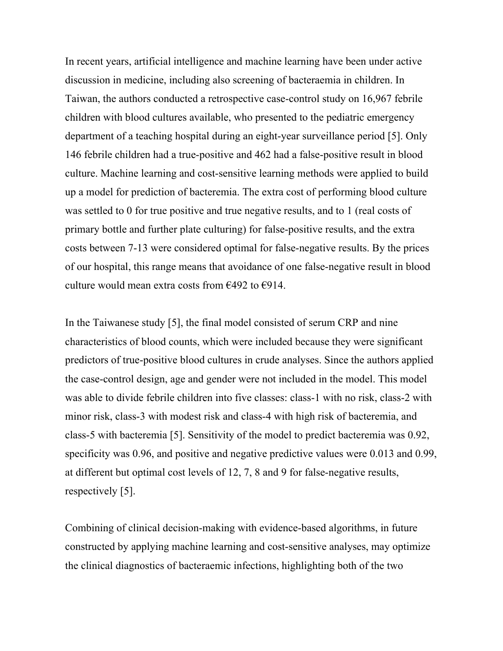In recent years, artificial intelligence and machine learning have been under active discussion in medicine, including also screening of bacteraemia in children. In Taiwan, the authors conducted a retrospective case-control study on 16,967 febrile children with blood cultures available, who presented to the pediatric emergency department of a teaching hospital during an eight-year surveillance period [5]. Only 146 febrile children had a true-positive and 462 had a false-positive result in blood culture. Machine learning and cost-sensitive learning methods were applied to build up a model for prediction of bacteremia. The extra cost of performing blood culture was settled to 0 for true positive and true negative results, and to 1 (real costs of primary bottle and further plate culturing) for false-positive results, and the extra costs between 7-13 were considered optimal for false-negative results. By the prices of our hospital, this range means that avoidance of one false-negative result in blood culture would mean extra costs from  $\epsilon$ 492 to  $\epsilon$ 914.

In the Taiwanese study [5], the final model consisted of serum CRP and nine characteristics of blood counts, which were included because they were significant predictors of true-positive blood cultures in crude analyses. Since the authors applied the case-control design, age and gender were not included in the model. This model was able to divide febrile children into five classes: class-1 with no risk, class-2 with minor risk, class-3 with modest risk and class-4 with high risk of bacteremia, and class-5 with bacteremia [5]. Sensitivity of the model to predict bacteremia was 0.92, specificity was 0.96, and positive and negative predictive values were 0.013 and 0.99, at different but optimal cost levels of 12, 7, 8 and 9 for false-negative results, respectively [5].

Combining of clinical decision-making with evidence-based algorithms, in future constructed by applying machine learning and cost-sensitive analyses, may optimize the clinical diagnostics of bacteraemic infections, highlighting both of the two